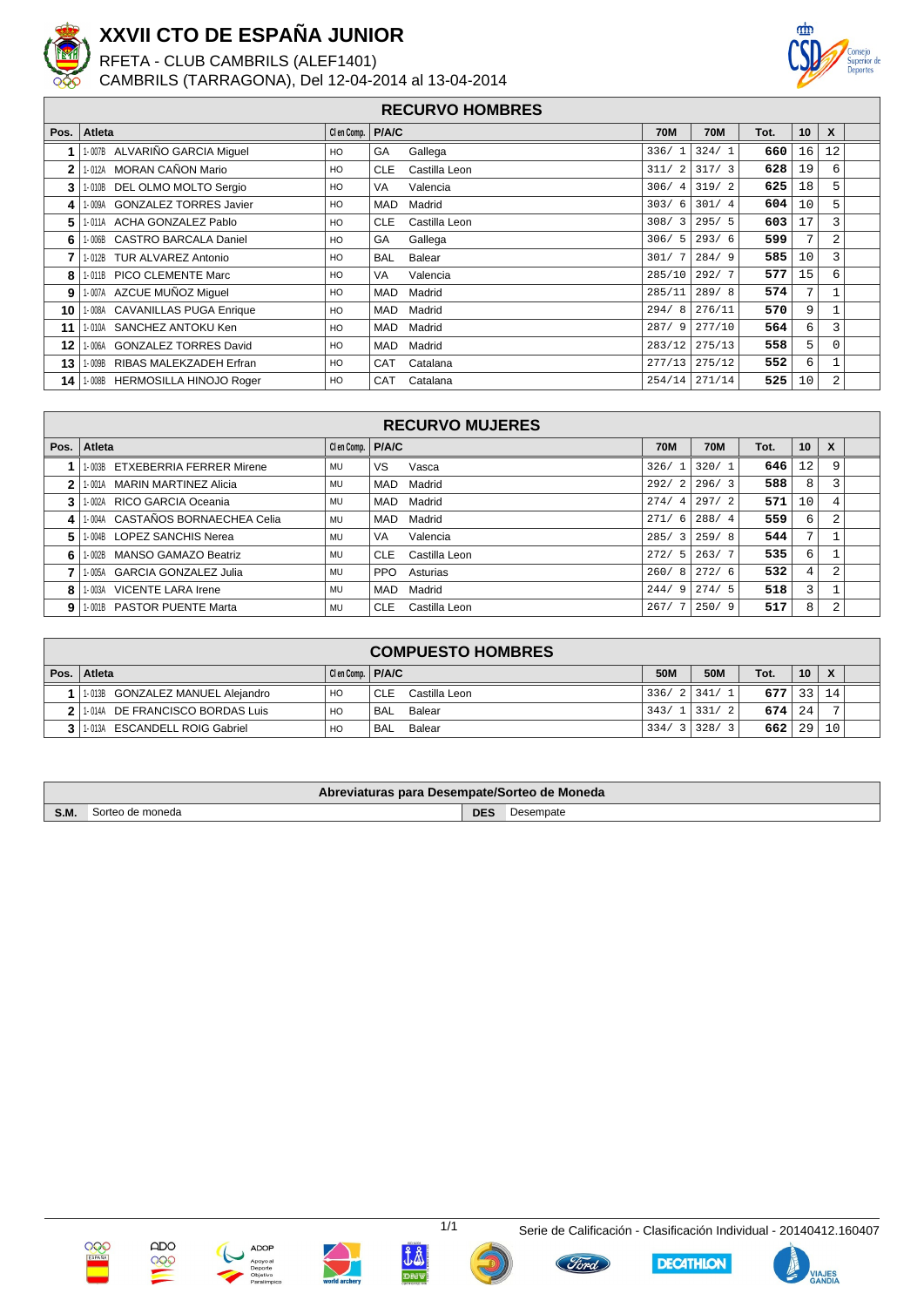

## **XXVII CTO DE ESPAÑA JUNIOR**

RFETA - CLUB CAMBRILS (ALEF1401)

CAMBRILS (TARRAGONA), Del 12-04-2014 al 13-04-2014



## **RECURVO HOMBRES**

| Pos. | Atleta                         | Clen Comp.   P/A/C |                             | <b>70M</b> | <b>70M</b>    | Tot. | 10 | X        |  |
|------|--------------------------------|--------------------|-----------------------------|------------|---------------|------|----|----------|--|
|      | 1-007B ALVARIÑO GARCIA Miquel  | HO                 | GA<br>Gallega               | 336/1      | 324/1         | 660  | 16 | 12       |  |
| 2    | 1-012A MORAN CAÑON Mario       | HO                 | <b>CLE</b><br>Castilla Leon | 311/2      | 317/3         | 628  | 19 | 6        |  |
| 3    | 1-010B DEL OLMO MOLTO Sergio   | HO                 | VA<br>Valencia              |            | $306/4$ 319/2 | 625  | 18 | 5        |  |
| 4    | 1-009A GONZALEZ TORRES Javier  | HO                 | <b>MAD</b><br>Madrid        | 303/6      | 301/4         | 604  | 10 | 5        |  |
| 5    | 1-011A ACHA GONZALEZ Pablo     | HO                 | <b>CLE</b><br>Castilla Leon | 308/3      | 295/5         | 603  | 17 | 3        |  |
| 6    | 1-006B CASTRO BARCALA Daniel   | HO                 | GA<br>Gallega               | 306/5      | 293/6         | 599  | 7  | 2        |  |
|      | 1-012B TUR ALVAREZ Antonio     | HO                 | <b>BAL</b><br>Balear        | 301/7      | 284/9         | 585  | 10 | 3        |  |
| 8    | 1-011B PICO CLEMENTE Marc      | HO                 | VA<br>Valencia              | 285/10     | 292/7         | 577  | 15 | 6        |  |
| 9    | 1-007A AZCUE MUÑOZ Miquel      | HO                 | <b>MAD</b><br>Madrid        | 285/11     | 289/8         | 574  | 7  |          |  |
| 10   | 1-008A CAVANILLAS PUGA Enrique | HO                 | Madrid<br>MAD               | 294/8      | 276/11        | 570  | 9  |          |  |
| 11   | 1-010A SANCHEZ ANTOKU Ken      | HO                 | Madrid<br>MAD               | 287/9      | 277/10        | 564  | 6  | 3        |  |
| 12   | 1-006A GONZALEZ TORRES David   | HO                 | Madrid<br>MAD               | 283/12     | 275/13        | 558  | 5  | $\Omega$ |  |
| 13   | 1-009B RIBAS MALEKZADEH Erfran | HO                 | CAT<br>Catalana             | 277/13     | 275/12        | 552  | 6  |          |  |
| 14   | 1-008B HERMOSILLA HINOJO Roger | HO                 | <b>CAT</b><br>Catalana      | 254/14     | 271/14        | 525  | 10 | 2        |  |

| <b>RECURVO MUJERES</b> |                                  |                    |                             |                        |            |      |    |   |  |
|------------------------|----------------------------------|--------------------|-----------------------------|------------------------|------------|------|----|---|--|
| Pos. $\vert$           | <b>Atleta</b>                    | Clen Comp.   P/A/C |                             | <b>70M</b>             | <b>70M</b> | Tot. | 10 | X |  |
|                        | 1-003B ETXEBERRIA FERRER Mirene  | MU                 | VS.<br>Vasca                | 326/                   | 320/1      | 646  | 12 |   |  |
|                        | 1-001A MARIN MARTINEZ Alicia     | MU                 | Madrid<br>MAD               | 292/2                  | 296/3      | 588  | 8  |   |  |
|                        | 1-002A RICO GARCIA Oceania       | MU                 | Madrid<br>MAD               | 274/<br>4              | 297/2      | 571  | 10 |   |  |
| 41                     | 1-004A CASTAÑOS BORNAECHEA Celia | <b>MU</b>          | Madrid<br>MAD               | 271/6                  | 288/4      | 559  | 6  |   |  |
| 5.                     | 1-004B LOPEZ SANCHIS Nerea       | MU                 | Valencia<br>VA              | 285/<br>$\overline{3}$ | 259/8      | 544  | 7  |   |  |
| 6                      | 1-002B MANSO GAMAZO Beatriz      | MU                 | <b>CLE</b><br>Castilla Leon | 272/<br>-5.1           | 263/7      | 535  | 6  |   |  |
|                        | 1-005A GARCIA GONZALEZ Julia     | <b>MU</b>          | PPO<br>Asturias             | 260/8                  | 272/6      | 532  | 4  |   |  |
| 8                      | 1-003A VICENTE LARA Irene        | MU                 | Madrid<br>MAD               | 244/9                  | 274/5      | 518  | 3  |   |  |
| 9                      | 1-001B PASTOR PUENTE Marta       | MU                 | <b>CLE</b><br>Castilla Leon | 267/                   | 250/9      | 517  | 8  |   |  |

| <b>COMPUESTO HOMBRES</b> |                                         |                    |                             |      |                |          |    |    |  |
|--------------------------|-----------------------------------------|--------------------|-----------------------------|------|----------------|----------|----|----|--|
|                          | Pos.   Atleta                           | Cien Comp.   P/A/C |                             | 50M  | <b>50M</b>     | Tot.     | 10 | X  |  |
|                          | 1-013B GONZALEZ MANUEL Alejandro        | HO                 | Castilla Leon<br><b>CLE</b> | 336/ | 2 341/         | $677$ 33 |    | 14 |  |
|                          | 1-014A DE FRANCISCO BORDAS Luis         | HO                 | Balear<br>' BAL             | 343/ | 1 3 3 1<br>- 2 | $674$ 24 |    |    |  |
|                          | <b>ESCANDELL ROIG Gabriel</b><br>I-013A | HO                 | Balear<br><b>BAL</b>        | 334/ | 3 328/         | 6621     | 29 | 10 |  |

| Abreviaturas para Desempate/Sorteo de Moneda |                    |     |           |  |  |  |  |
|----------------------------------------------|--------------------|-----|-----------|--|--|--|--|
| S.M.                                         | e moneda<br>sorteo | DES | Desempate |  |  |  |  |













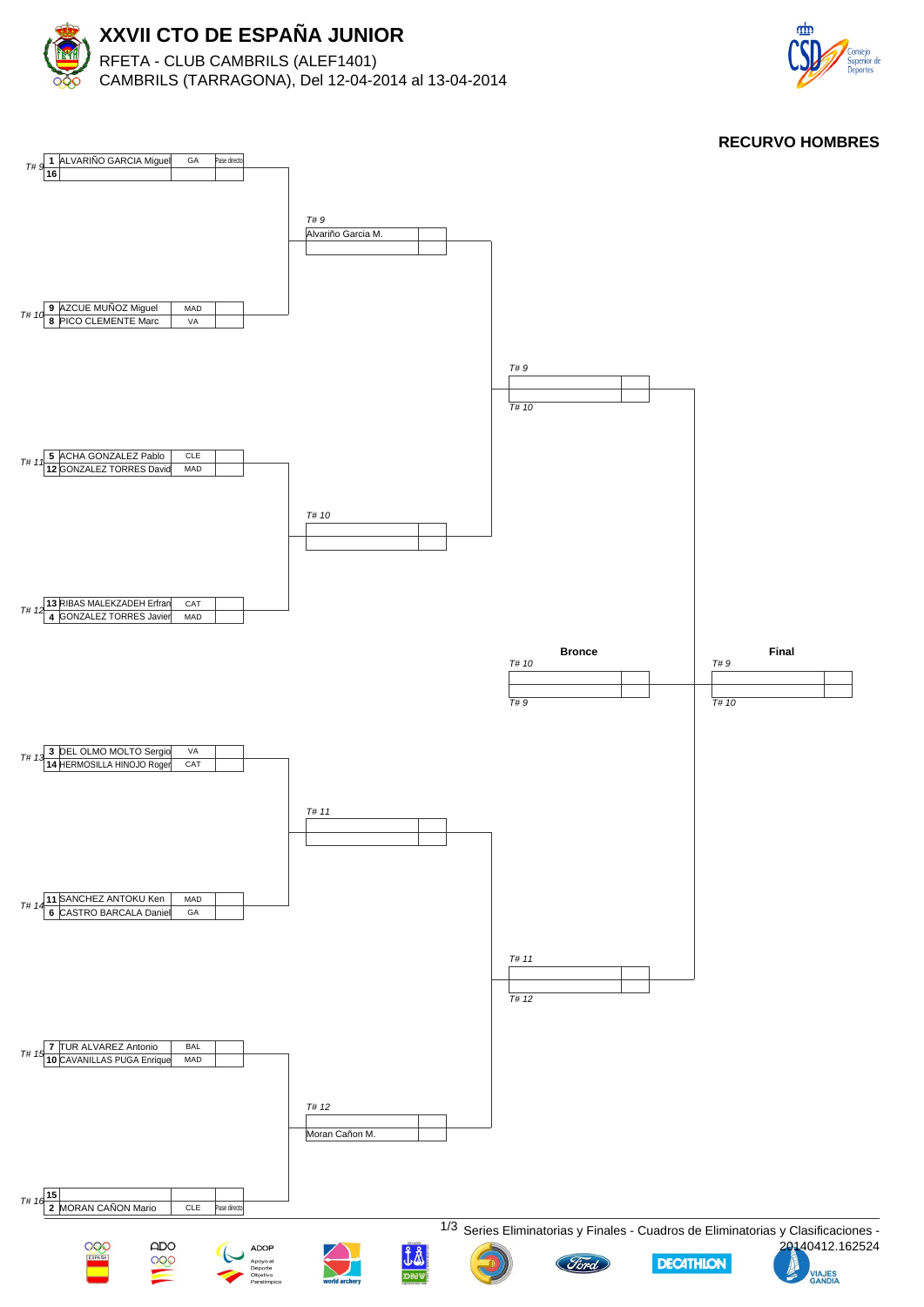



**RECURVO HOMBRES**

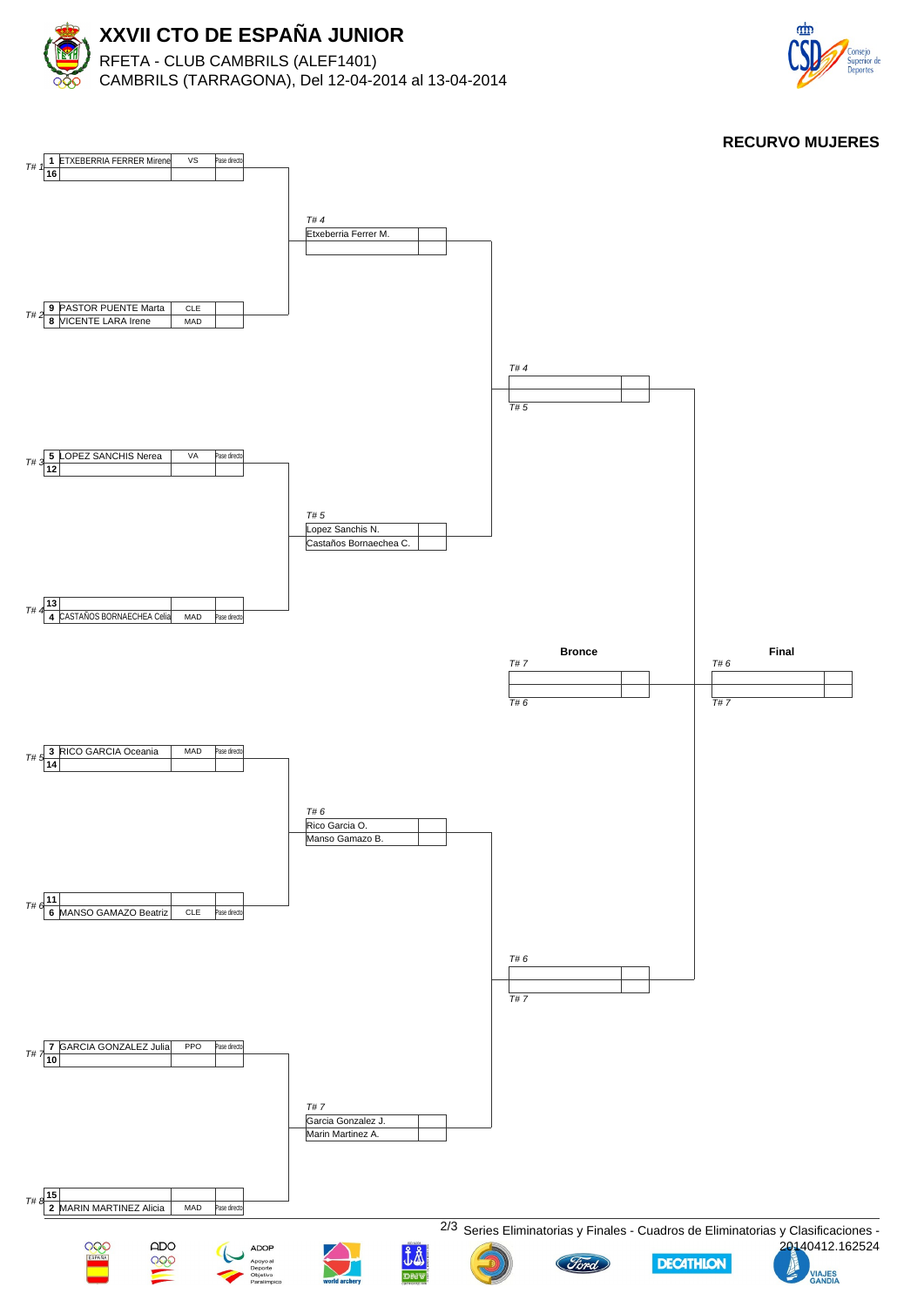



**RECURVO MUJERES**